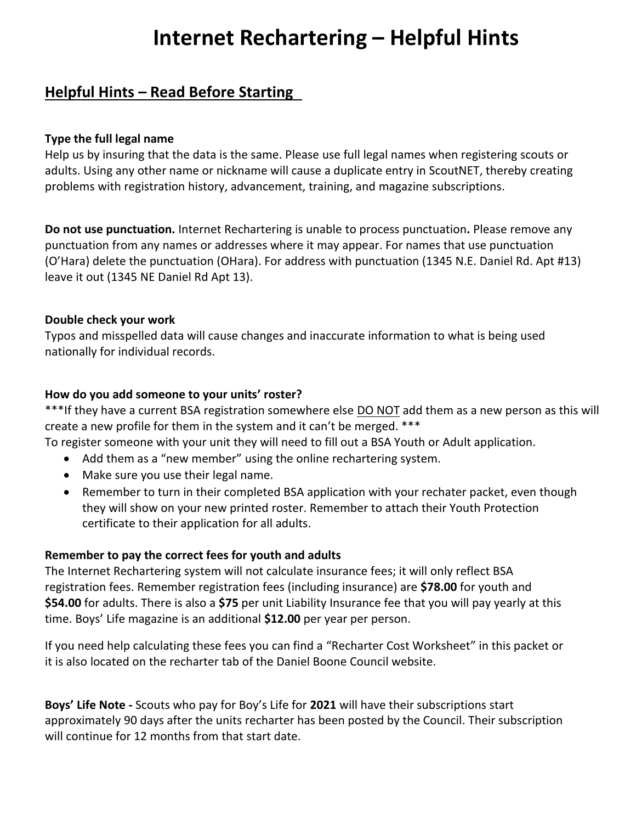# **Internet Rechartering – Helpful Hints**

# **Helpful Hints – Read Before Starting**

### **Type the full legal name**

Help us by insuring that the data is the same. Please use full legal names when registering scouts or adults. Using any other name or nickname will cause a duplicate entry in ScoutNET, thereby creating problems with registration history, advancement, training, and magazine subscriptions.

**Do not use punctuation.** Internet Rechartering is unable to process punctuation**.** Please remove any punctuation from any names or addresses where it may appear. For names that use punctuation (O'Hara) delete the punctuation (OHara). For address with punctuation (1345 N.E. Daniel Rd. Apt #13) leave it out (1345 NE Daniel Rd Apt 13).

# **Double check your work**

Typos and misspelled data will cause changes and inaccurate information to what is being used nationally for individual records.

# **How do you add someone to your units' roster?**

\*\*\*If they have a current BSA registration somewhere else DO NOT add them as a new person as this will create a new profile for them in the system and it can't be merged. \*\*\*

- To register someone with your unit they will need to fill out a BSA Youth or Adult application.
	- Add them as a "new member" using the online rechartering system.
	- Make sure you use their legal name.
	- Remember to turn in their completed BSA application with your rechater packet, even though they will show on your new printed roster. Remember to attach their Youth Protection certificate to their application for all adults.

#### **Remember to pay the correct fees for youth and adults**

The Internet Rechartering system will not calculate insurance fees; it will only reflect BSA registration fees. Remember registration fees (including insurance) are **\$78.00** for youth and **\$54.00** for adults. There is also a **\$75** per unit Liability Insurance fee that you will pay yearly at this time. Boys' Life magazine is an additional **\$12.00** per year per person.

If you need help calculating these fees you can find a "Recharter Cost Worksheet" in this packet or it is also located on the recharter tab of the Daniel Boone Council website.

**Boys' Life Note -** Scouts who pay for Boy's Life for **2021** will have their subscriptions start approximately 90 days after the units recharter has been posted by the Council. Their subscription will continue for 12 months from that start date.